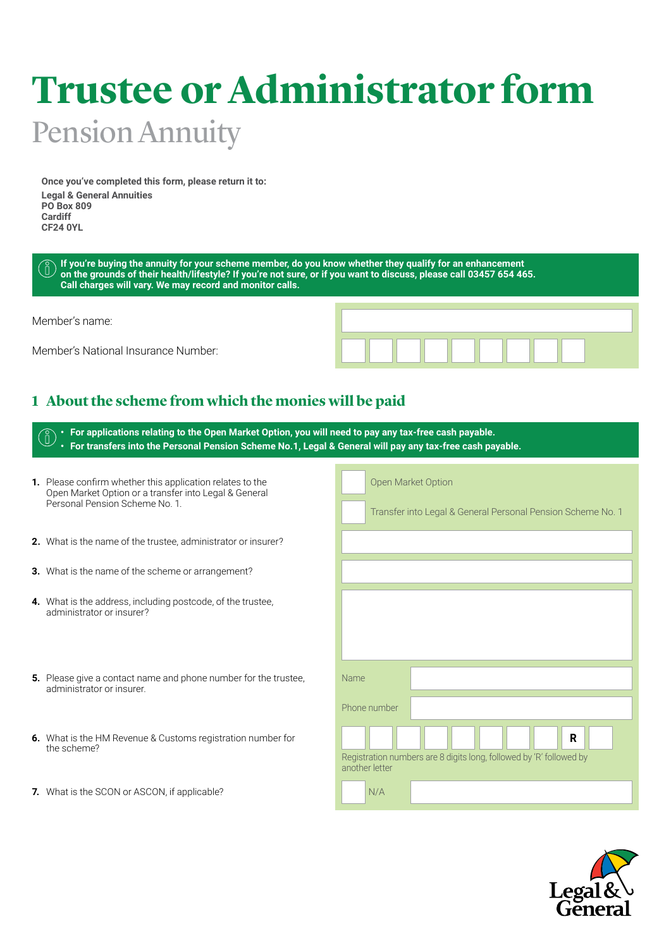# **Trustee or Administrator form**  Pension Annuity

**Once you've completed this form, please return it to: Legal & General Annuities PO Box 809 Cardiff CF24 0YL** 

**If you're buying the annuity for your scheme member, do you know whether they qualify for an enhancement**   $\hat{\mathsf{n}}$  ) **on the grounds of their health/lifestyle? If you're not sure, or if you want to discuss, please call 03457 654 465. Call charges will vary. We may record and monitor calls.** 

Member's name:

Member's National Insurance Number:



## **1 About the scheme from which the monies will be paid**

| For applications relating to the Open Market Option, you will need to pay any tax-free cash payable.<br>For transfers into the Personal Pension Scheme No.1, Legal & General will pay any tax-free cash payable. |                                                                                            |  |  |  |  |
|------------------------------------------------------------------------------------------------------------------------------------------------------------------------------------------------------------------|--------------------------------------------------------------------------------------------|--|--|--|--|
| 1. Please confirm whether this application relates to the<br>Open Market Option or a transfer into Legal & General<br>Personal Pension Scheme No. 1.                                                             | Open Market Option<br>Transfer into Legal & General Personal Pension Scheme No. 1          |  |  |  |  |
| 2. What is the name of the trustee, administrator or insurer?                                                                                                                                                    |                                                                                            |  |  |  |  |
| 3. What is the name of the scheme or arrangement?                                                                                                                                                                |                                                                                            |  |  |  |  |
| 4. What is the address, including postcode, of the trustee,<br>administrator or insurer?                                                                                                                         |                                                                                            |  |  |  |  |
| 5. Please give a contact name and phone number for the trustee,<br>administrator or insurer.                                                                                                                     | <b>Name</b><br>Phone number                                                                |  |  |  |  |
| <b>6.</b> What is the HM Revenue & Customs registration number for<br>the scheme?                                                                                                                                | R<br>Registration numbers are 8 digits long, followed by 'R' followed by<br>another letter |  |  |  |  |
| 7. What is the SCON or ASCON, if applicable?                                                                                                                                                                     | N/A                                                                                        |  |  |  |  |
|                                                                                                                                                                                                                  |                                                                                            |  |  |  |  |

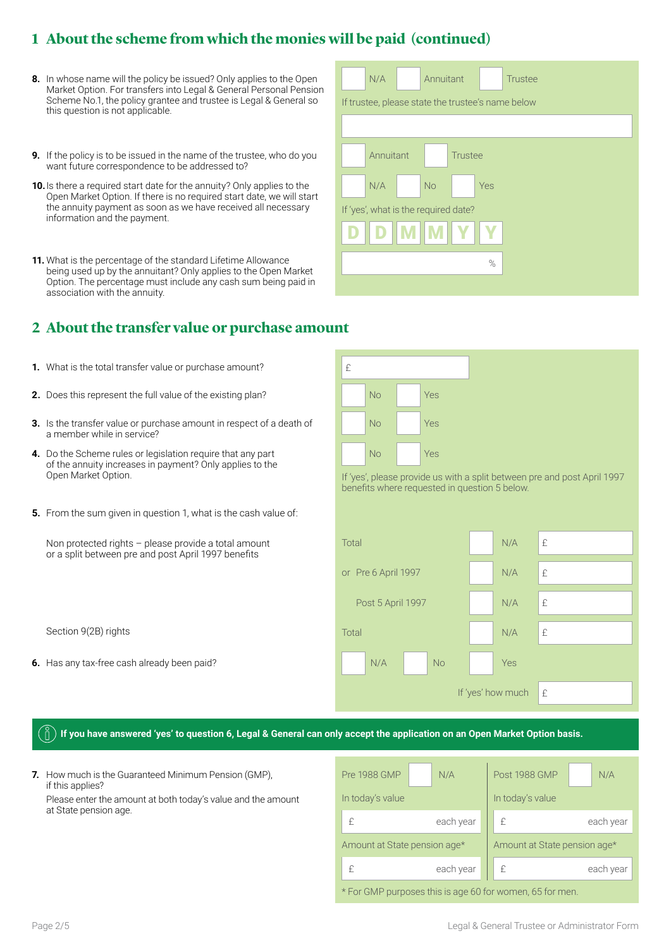## **1 About the scheme from which the monies will be paid (continued)**

- **8.** In whose name will the policy be issued? Only applies to the Open Market Option. For transfers into Legal & General Personal Pension Scheme No.1, the policy grantee and trustee is Legal & General so Fift trustee, please state the trustee's name<br>this question is not applicable. this question is not applicable.
- **9.** If the policy is to be issued in the name of the trustee, who do you want future correspondence to be addressed to?
- **10.**Is there a required start date for the annuity? Only applies to the Open Market Option. If there is no required start date, we will start the annuity payment as soon as we have received all necessary information and the payment.
- **11.** What is the percentage of the standard Lifetime Allowance being used up by the annuitant? Only applies to the Open Market Option. The percentage must include any cash sum being paid in association with the annuity.

### **2 About the transfer value or purchase amount**

- **1.** What is the total transfer value or purchase amount?
- **2.** Does this represent the full value of the existing plan?
- **3.** Is the transfer value or purchase amount in respect of a death of a member while in service?
- **4.** Do the Scheme rules or legislation require that any part of the annuity increases in payment? Only applies to the Open Market Option.
- **5.** From the sum given in question 1, what is the cash value of:

| If trustee, please state the trustee's name below |  |  |  |  |
|---------------------------------------------------|--|--|--|--|
|                                                   |  |  |  |  |
| <b>Trustee</b><br>Annuitant                       |  |  |  |  |
| <b>No</b><br>N/A<br>Yes                           |  |  |  |  |
| If 'yes', what is the required date?              |  |  |  |  |
| <b>MIM</b>                                        |  |  |  |  |
| %                                                 |  |  |  |  |
|                                                   |  |  |  |  |

N/A Annuitant Trustee

| £                                                                                                                         |           |  |     |  |  |
|---------------------------------------------------------------------------------------------------------------------------|-----------|--|-----|--|--|
|                                                                                                                           | <b>No</b> |  | Yes |  |  |
|                                                                                                                           | <b>No</b> |  | Yes |  |  |
|                                                                                                                           | <b>No</b> |  | Yes |  |  |
| If 'yes', please provide us with a split between pre and post April 1997<br>benefits where requested in question 5 below. |           |  |     |  |  |

| Non protected rights - please provide a total amount<br>or a split between pre and post April 1997 benefits | Total               | N/A               | £ |
|-------------------------------------------------------------------------------------------------------------|---------------------|-------------------|---|
|                                                                                                             | or Pre 6 April 1997 | N/A               | £ |
|                                                                                                             | Post 5 April 1997   | N/A               | £ |
| Section 9(2B) rights                                                                                        | Total               | N/A               | £ |
| 6. Has any tax-free cash already been paid?                                                                 | <b>No</b><br>N/A    | <b>Yes</b>        |   |
|                                                                                                             |                     | If 'yes' how much | £ |

#### **If you have answered 'yes' to question 6, Legal & General can only accept the application on an Open Market Option basis.**

 **7.** How much is the Guaranteed Minimum Pension (GMP), if this applies? Please enter the amount at both today's value and the amount at State pension age.

| <b>Pre 1988 GMP</b>                                      | N/A       | Post 1988 GMP                | N/A       |  |  |
|----------------------------------------------------------|-----------|------------------------------|-----------|--|--|
| In today's value                                         |           | In today's value             |           |  |  |
| F                                                        | each year | £                            | each year |  |  |
| Amount at State pension age*                             |           | Amount at State pension age* |           |  |  |
| f                                                        | each year | £                            | each year |  |  |
| * For GMP purposes this is age 60 for women, 65 for men. |           |                              |           |  |  |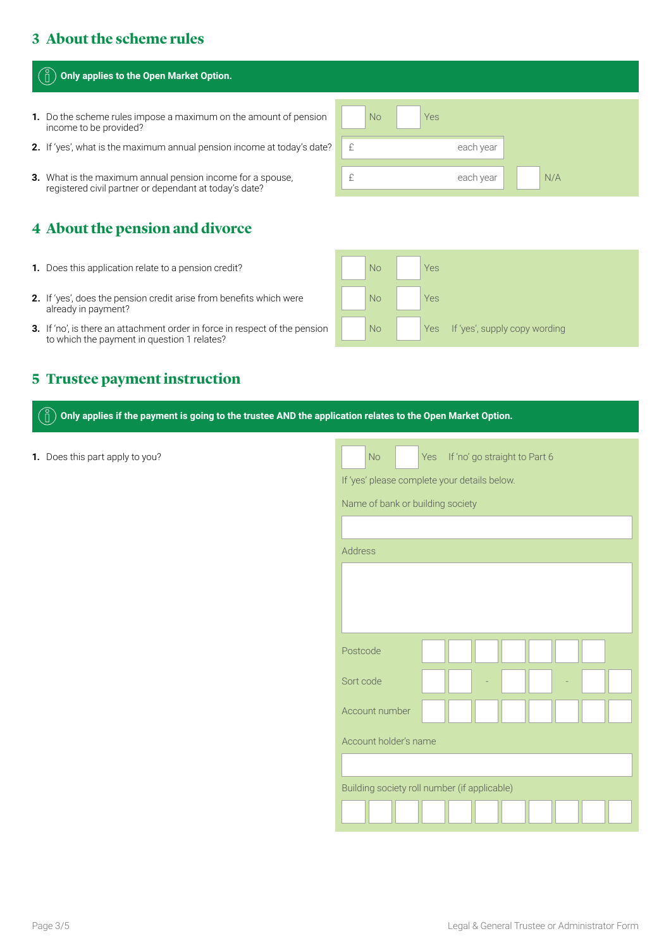## **3 About the scheme rules**

#### **Only applies to the Open Market Option.**

- **1.** Do the scheme rules impose a maximum on the amount of pension income to be provided?
- **2.** If 'yes', what is the maximum annual pension income at today's date?
- **3.** What is the maximum annual pension income for a spouse, registered civil partner or dependant at today's date?

## **4 About the pension and divorce**

- **1.** Does this application relate to a pension credit?
- **2.** If 'yes', does the pension credit arise from benefits which were already in payment?
- **3.** If 'no', is there an attachment order in force in respect of the pension to which the payment in question 1 relates?

#### **5 Trustee payment instruction**

**Only applies if the payment is going to the trustee AND the application relates to the Open Market Option.**  ň

**1.** Does this part apply to you? No Yes If 'no' go straight to Part 6

I No Yes N/A £ each year £ each year

| No        | Yes                               |
|-----------|-----------------------------------|
| <b>No</b> | Yes                               |
| <b>No</b> | Yes If 'yes', supply copy wording |

 If 'yes' please complete your details below.

| Name of bank or building society |  |
|----------------------------------|--|
|----------------------------------|--|

| Address                                      |  |  |  |  |  |  |
|----------------------------------------------|--|--|--|--|--|--|
|                                              |  |  |  |  |  |  |
|                                              |  |  |  |  |  |  |
|                                              |  |  |  |  |  |  |
|                                              |  |  |  |  |  |  |
| Postcode                                     |  |  |  |  |  |  |
| Sort code                                    |  |  |  |  |  |  |
| Account number                               |  |  |  |  |  |  |
| Account holder's name                        |  |  |  |  |  |  |
|                                              |  |  |  |  |  |  |
| Building society roll number (if applicable) |  |  |  |  |  |  |
|                                              |  |  |  |  |  |  |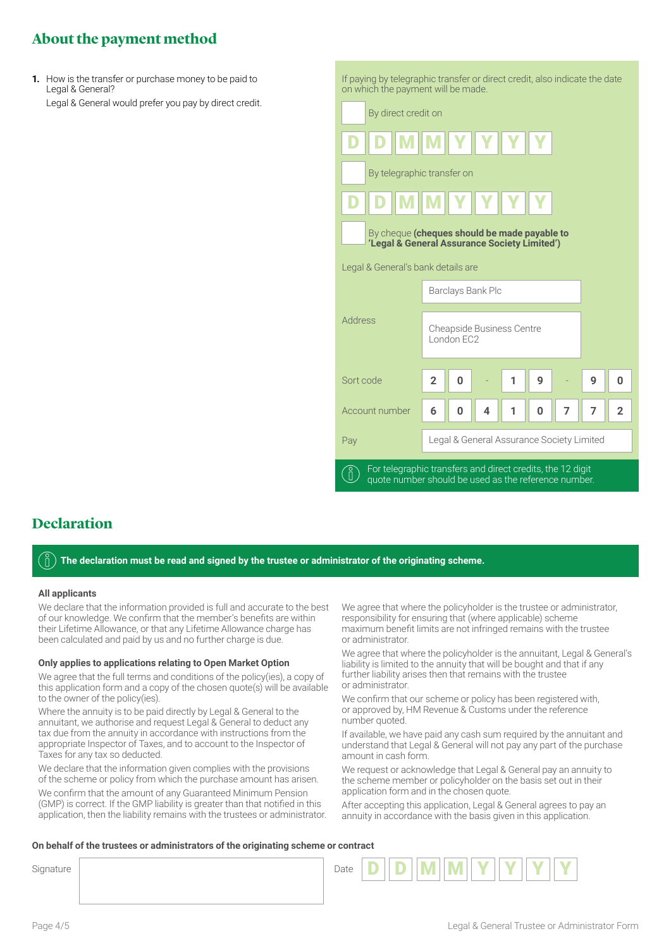## **About the payment method**

 **1.** How is the transfer or purchase money to be paid to Legal & General? Legal & General would prefer you pay by direct credit.  If paying by telegraphic transfer or direct credit, also indicate the date on which the payment will be made.



### **Declaration**

**The declaration must be read and signed by the trustee or administrator of the originating scheme.** 

#### **All applicants**

 We declare that the information provided is full and accurate to the best of our knowledge. We confirm that the member's benefits are within their Lifetime Allowance, or that any Lifetime Allowance charge has been calculated and paid by us and no further charge is due.

#### **Only applies to applications relating to Open Market Option**

 We agree that the full terms and conditions of the policy(ies), a copy of this application form and a copy of the chosen quote(s) will be available to the owner of the policy(ies).

 Where the annuity is to be paid directly by Legal & General to the annuitant, we authorise and request Legal & General to deduct any tax due from the annuity in accordance with instructions from the appropriate Inspector of Taxes, and to account to the Inspector of Taxes for any tax so deducted.

 We declare that the information given complies with the provisions of the scheme or policy from which the purchase amount has arisen.

 We confirm that the amount of any Guaranteed Minimum Pension (GMP) is correct. If the GMP liability is greater than that notified in this application, then the liability remains with the trustees or administrator.

 We agree that where the policyholder is the trustee or administrator, responsibility for ensuring that (where applicable) scheme maximum benefit limits are not infringed remains with the trustee or administrator.

 We agree that where the policyholder is the annuitant, Legal & General's liability is limited to the annuity that will be bought and that if any further liability arises then that remains with the trustee or administrator.

 We confirm that our scheme or policy has been registered with, or approved by, HM Revenue & Customs under the reference number quoted.

 If available, we have paid any cash sum required by the annuitant and understand that Legal & General will not pay any part of the purchase amount in cash form.

 We request or acknowledge that Legal & General pay an annuity to the scheme member or policyholder on the basis set out in their application form and in the chosen quote.

 After accepting this application, Legal & General agrees to pay an annuity in accordance with the basis given in this application.

#### **On behalf of the trustees or administrators of the originating scheme or contract**